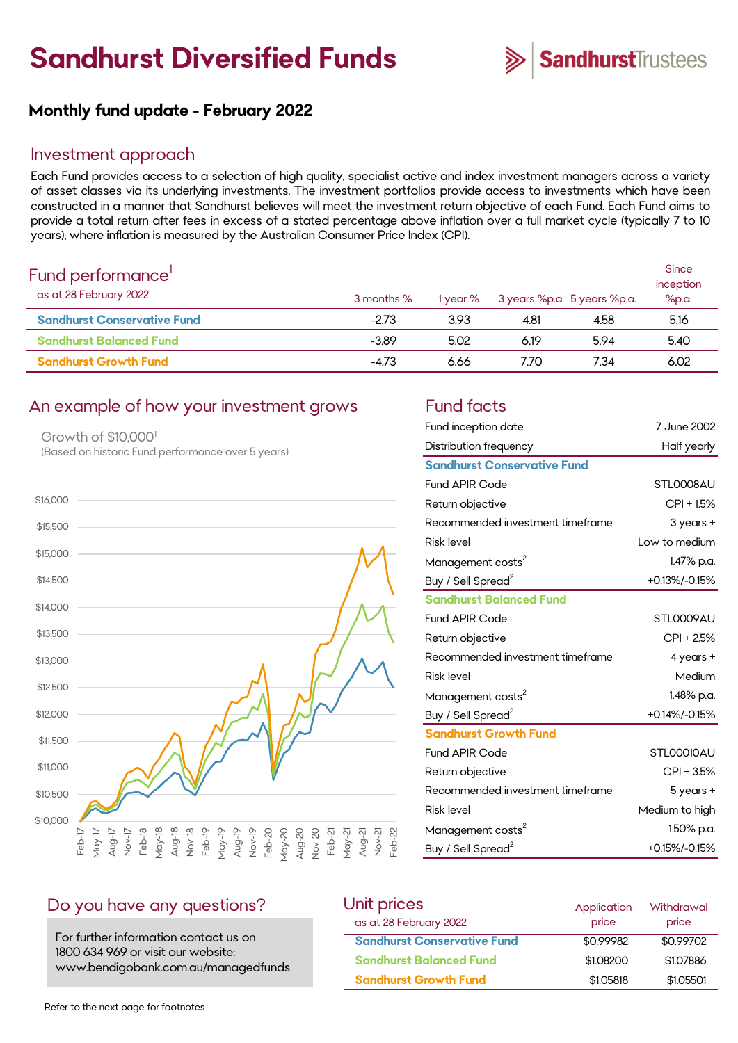# **Sandhurst Diversified Funds**



# **Monthly fund update - February 2022**

#### Investment approach

Each Fund provides access to a selection of high quality, specialist active and index investment managers across a variety of asset classes via its underlying investments. The investment portfolios provide access to investments which have been constructed in a manner that Sandhurst believes will meet the investment return objective of each Fund. Each Fund aims to provide a total return after fees in excess of a stated percentage above inflation over a full market cycle (typically 7 to 10 years), where inflation is measured by the Australian Consumer Price Index (CPI).

| Fund performance'<br>as at 28 February 2022 | 3 months % | 1 year % |      | 3 years %p.a. 5 years %p.a. | <b>Since</b><br>inception<br>%p.a. |
|---------------------------------------------|------------|----------|------|-----------------------------|------------------------------------|
| <b>Sandhurst Conservative Fund</b>          | $-2.73$    | 3.93     | 4.81 | 4.58                        | 5.16                               |
| <b>Sandhurst Balanced Fund</b>              | $-3.89$    | 5.02     | 6.19 | 5.94                        | 5.40                               |
| <b>Sandhurst Growth Fund</b>                | $-4.73$    | 6.66     | 7.70 | 7.34                        | 6.02                               |

#### An example of how your investment grows Fund facts

Growth of \$10,000<sup>1</sup> (Based on historic Fund performance over 5 years)



| Fund inception date                | 7 June 2002    |
|------------------------------------|----------------|
| Distribution frequency             | Half yearly    |
| <b>Sandhurst Conservative Fund</b> |                |
| <b>Fund APIR Code</b>              | STLOOO8AU      |
| Return objective                   | $CPI + 1.5%$   |
| Recommended investment timeframe   | $3$ years $+$  |
| <b>Risk level</b>                  | Low to medium  |
| Management costs <sup>2</sup>      | 1.47% p.a.     |
| Buy / Sell Spread <sup>2</sup>     | +0.13%/-0.15%  |
| <b>Sandhurst Balanced Fund</b>     |                |
| <b>Fund APIR Code</b>              | STL0009AU      |
| Return objective                   | $CPI + 2.5%$   |
| Recommended investment timeframe   | 4 years +      |
| <b>Risk level</b>                  | Medium         |
| Management costs <sup>2</sup>      | 1.48% p.a.     |
| Buy / Sell Spread <sup>2</sup>     | +0.14%/-0.15%  |
| <b>Sandhurst Growth Fund</b>       |                |
| <b>Fund APIR Code</b>              | STLOOO10AU     |
| Return objective                   | CPI + 3.5%     |
| Recommended investment timeframe   | 5 years +      |
| <b>Risk level</b>                  | Medium to high |
| Management costs <sup>2</sup>      | 1.50% p.a.     |
| Buy / Sell Spread <sup>2</sup>     | +0.15%/-0.15%  |

### Do you have any questions?

For further information contact us on 1800 634 969 or visit our website: www.bendigobank.com.au/managedfunds

| Unit prices                        | Application | Withdrawal |
|------------------------------------|-------------|------------|
| as at 28 February 2022             | price       | price      |
| <b>Sandhurst Conservative Fund</b> | \$0.99982   | \$0.99702  |
| <b>Sandhurst Balanced Fund</b>     | \$1,08200   | \$1,07886  |
| <b>Sandhurst Growth Fund</b>       | \$1,05818   | \$1,05501  |